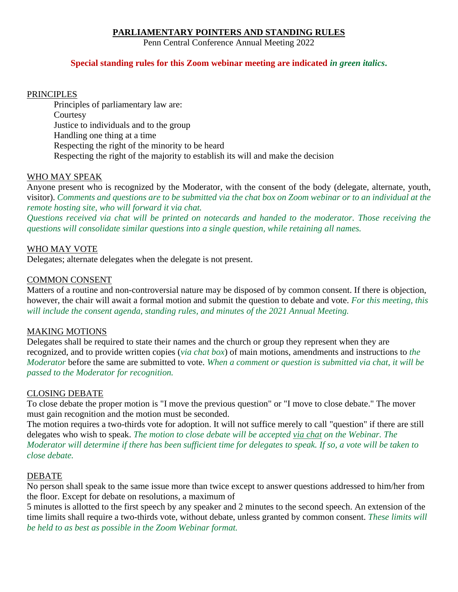# **PARLIAMENTARY POINTERS AND STANDING RULES**

Penn Central Conference Annual Meeting 2022

## **Special standing rules for this Zoom webinar meeting are indicated** *in green italics***.**

### PRINCIPLES

Principles of parliamentary law are: **Courtesy** Justice to individuals and to the group Handling one thing at a time Respecting the right of the minority to be heard Respecting the right of the majority to establish its will and make the decision

### WHO MAY SPEAK

Anyone present who is recognized by the Moderator, with the consent of the body (delegate, alternate, youth, visitor). *Comments and questions are to be submitted via the chat box on Zoom webinar or to an individual at the remote hosting site, who will forward it via chat.*

*Questions received via chat will be printed on notecards and handed to the moderator. Those receiving the questions will consolidate similar questions into a single question, while retaining all names.*

### WHO MAY VOTE

Delegates; alternate delegates when the delegate is not present.

### COMMON CONSENT

Matters of a routine and non-controversial nature may be disposed of by common consent. If there is objection, however, the chair will await a formal motion and submit the question to debate and vote. *For this meeting, this will include the consent agenda, standing rules, and minutes of the 2021 Annual Meeting.*

### MAKING MOTIONS

Delegates shall be required to state their names and the church or group they represent when they are recognized, and to provide written copies (*via chat box*) of main motions, amendments and instructions to *the Moderator* before the same are submitted to vote. *When a comment or question is submitted via chat, it will be passed to the Moderator for recognition.*

### CLOSING DEBATE

To close debate the proper motion is "I move the previous question" or "I move to close debate." The mover must gain recognition and the motion must be seconded.

The motion requires a two-thirds vote for adoption. It will not suffice merely to call "question" if there are still delegates who wish to speak. *The motion to close debate will be accepted via chat on the Webinar. The Moderator will determine if there has been sufficient time for delegates to speak. If so, a vote will be taken to close debate.*

### DEBATE

No person shall speak to the same issue more than twice except to answer questions addressed to him/her from the floor. Except for debate on resolutions, a maximum of

5 minutes is allotted to the first speech by any speaker and 2 minutes to the second speech. An extension of the time limits shall require a two-thirds vote, without debate, unless granted by common consent. *These limits will be held to as best as possible in the Zoom Webinar format.*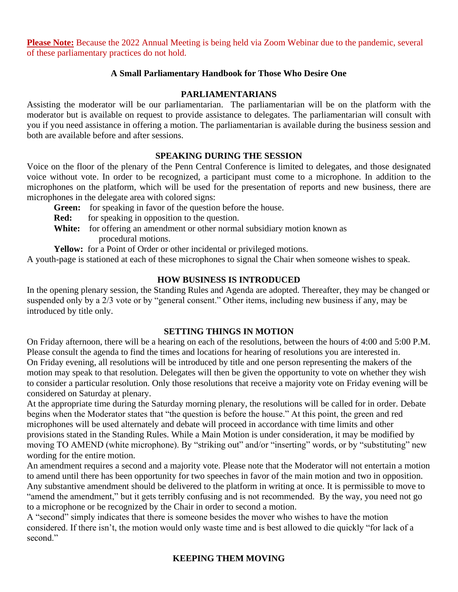**Please Note:** Because the 2022 Annual Meeting is being held via Zoom Webinar due to the pandemic, several of these parliamentary practices do not hold.

# **A Small Parliamentary Handbook for Those Who Desire One**

## **PARLIAMENTARIANS**

Assisting the moderator will be our parliamentarian. The parliamentarian will be on the platform with the moderator but is available on request to provide assistance to delegates. The parliamentarian will consult with you if you need assistance in offering a motion. The parliamentarian is available during the business session and both are available before and after sessions.

### **SPEAKING DURING THE SESSION**

Voice on the floor of the plenary of the Penn Central Conference is limited to delegates, and those designated voice without vote. In order to be recognized, a participant must come to a microphone. In addition to the microphones on the platform, which will be used for the presentation of reports and new business, there are microphones in the delegate area with colored signs:

**Green:** for speaking in favor of the question before the house.

**Red:** for speaking in opposition to the question.

White: for offering an amendment or other normal subsidiary motion known as procedural motions.

Yellow: for a Point of Order or other incidental or privileged motions.

A youth-page is stationed at each of these microphones to signal the Chair when someone wishes to speak.

# **HOW BUSINESS IS INTRODUCED**

In the opening plenary session, the Standing Rules and Agenda are adopted. Thereafter, they may be changed or suspended only by a 2/3 vote or by "general consent." Other items, including new business if any, may be introduced by title only.

### **SETTING THINGS IN MOTION**

On Friday afternoon, there will be a hearing on each of the resolutions, between the hours of 4:00 and 5:00 P.M. Please consult the agenda to find the times and locations for hearing of resolutions you are interested in. On Friday evening, all resolutions will be introduced by title and one person representing the makers of the motion may speak to that resolution. Delegates will then be given the opportunity to vote on whether they wish to consider a particular resolution. Only those resolutions that receive a majority vote on Friday evening will be considered on Saturday at plenary.

At the appropriate time during the Saturday morning plenary, the resolutions will be called for in order. Debate begins when the Moderator states that "the question is before the house." At this point, the green and red microphones will be used alternately and debate will proceed in accordance with time limits and other provisions stated in the Standing Rules. While a Main Motion is under consideration, it may be modified by moving TO AMEND (white microphone). By "striking out" and/or "inserting" words, or by "substituting" new wording for the entire motion.

An amendment requires a second and a majority vote. Please note that the Moderator will not entertain a motion to amend until there has been opportunity for two speeches in favor of the main motion and two in opposition. Any substantive amendment should be delivered to the platform in writing at once. It is permissible to move to "amend the amendment," but it gets terribly confusing and is not recommended. By the way, you need not go to a microphone or be recognized by the Chair in order to second a motion.

A "second" simply indicates that there is someone besides the mover who wishes to have the motion considered. If there isn't, the motion would only waste time and is best allowed to die quickly "for lack of a second."

# **KEEPING THEM MOVING**